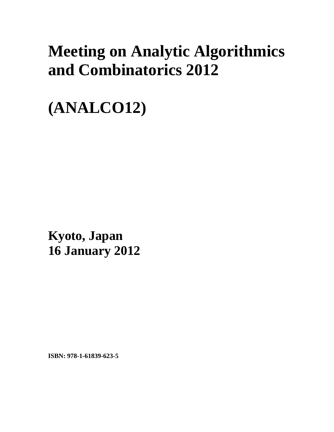## **Meeting on Analytic Algorithmics and Combinatorics 2012**

**(ANALCO12)** 

**Kyoto, Japan 16 January 2012**

**ISBN: 978-1-61839-623-5**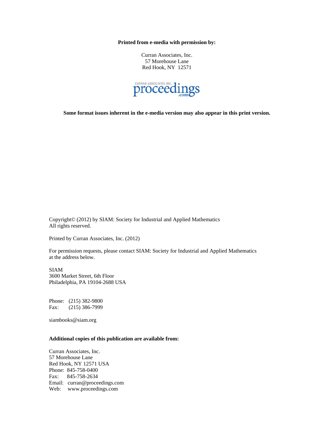**Printed from e-media with permission by:** 

Curran Associates, Inc. 57 Morehouse Lane Red Hook, NY 12571



**Some format issues inherent in the e-media version may also appear in this print version.** 

Copyright© (2012) by SIAM: Society for Industrial and Applied Mathematics All rights reserved.

Printed by Curran Associates, Inc. (2012)

For permission requests, please contact SIAM: Society for Industrial and Applied Mathematics at the address below.

SIAM 3600 Market Street, 6th Floor Philadelphia, PA 19104-2688 USA

Phone: (215) 382-9800 Fax: (215) 386-7999

siambooks@siam.org

## **Additional copies of this publication are available from:**

Curran Associates, Inc. 57 Morehouse Lane Red Hook, NY 12571 USA Phone: 845-758-0400 Fax: 845-758-2634 Email: curran@proceedings.com Web: www.proceedings.com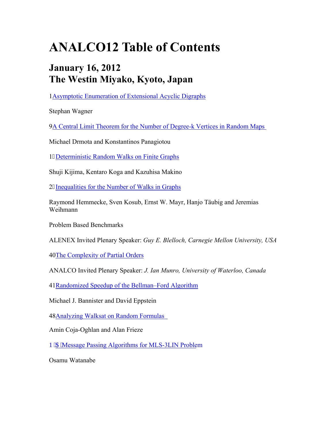## **ANALCO12 Table of Contents**

## **January 16, 2012 The Westin Miyako, Kyoto, Japan**

1Asymptotic Enumeration of Extensional Acyclic Digraphs

Stephan Wagner

9A Central Limit Theorem for the Number of Degree-k Vertices in Random Maps

Michael Drmota and Konstantinos Panagiotou

18Deterministic Random Walks on Finite Graphs

Shuji Kijima, Kentaro Koga and Kazuhisa Makino

28Inequalities for the Number of Walks in Graphs

Raymond Hemmecke, Sven Kosub, Ernst W. Mayr, Hanjo Täubig and Jeremias Weihmann

Problem Based Benchmarks

ALENEX Invited Plenary Speaker: *Guy E. Blelloch, Carnegie Mellon University, USA* 

40The Complexity of Partial Orders

ANALCO Invited Plenary Speaker: *J. Ian Munro, University of Waterloo, Canada* 

41Randomized Speedup of the Bellman–Ford Algorithm

Michael J. Bannister and David Eppstein

48Analyzing Walksat on Random Formulas

Amin Coja-Oghlan and Alan Frieze

P IC 'Message Passing Algorithms for MLS-3LIN Problem

Osamu Watanabe